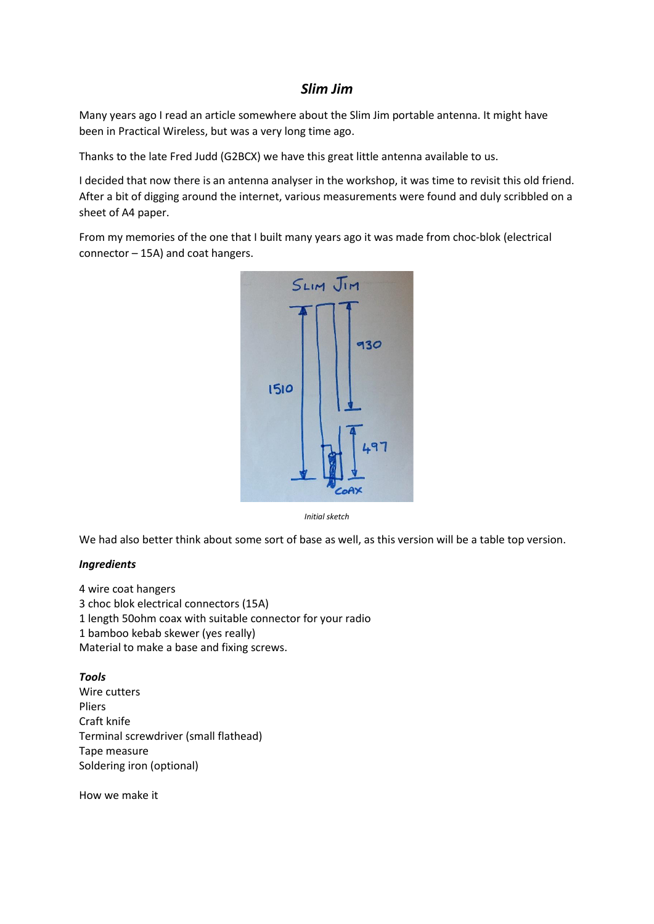# *Slim Jim*

Many years ago I read an article somewhere about the Slim Jim portable antenna. It might have been in Practical Wireless, but was a very long time ago.

Thanks to the late Fred Judd (G2BCX) we have this great little antenna available to us.

I decided that now there is an antenna analyser in the workshop, it was time to revisit this old friend. After a bit of digging around the internet, various measurements were found and duly scribbled on a sheet of A4 paper.

From my memories of the one that I built many years ago it was made from choc-blok (electrical connector – 15A) and coat hangers.



*Initial sketch*

We had also better think about some sort of base as well, as this version will be a table top version.

#### *Ingredients*

4 wire coat hangers 3 choc blok electrical connectors (15A) 1 length 50ohm coax with suitable connector for your radio 1 bamboo kebab skewer (yes really) Material to make a base and fixing screws.

### *Tools*

Wire cutters Pliers Craft knife Terminal screwdriver (small flathead) Tape measure Soldering iron (optional)

How we make it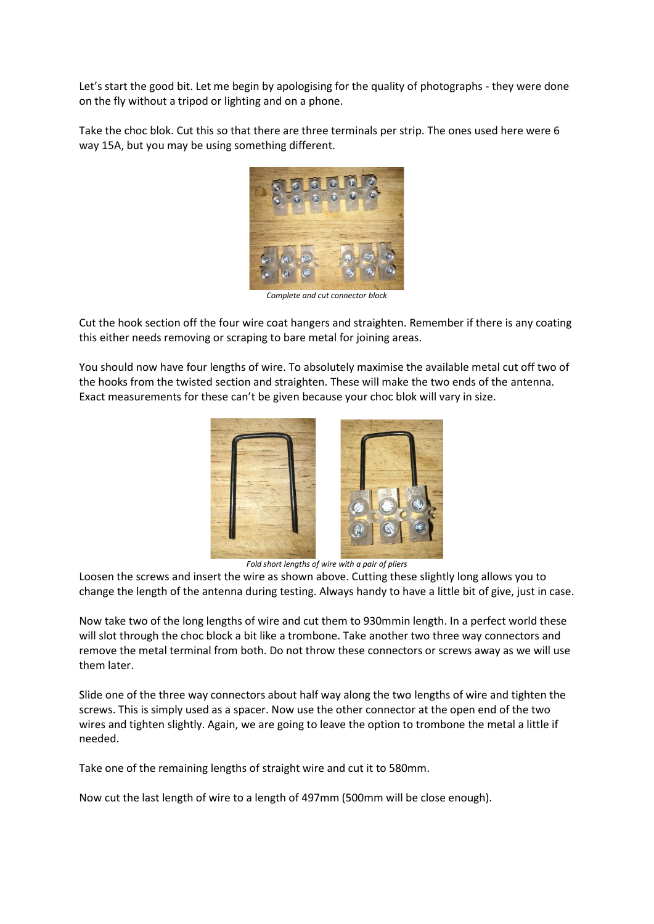Let's start the good bit. Let me begin by apologising for the quality of photographs - they were done on the fly without a tripod or lighting and on a phone.

Take the choc blok. Cut this so that there are three terminals per strip. The ones used here were 6 way 15A, but you may be using something different.



*Complete and cut connector block*

Cut the hook section off the four wire coat hangers and straighten. Remember if there is any coating this either needs removing or scraping to bare metal for joining areas.

You should now have four lengths of wire. To absolutely maximise the available metal cut off two of the hooks from the twisted section and straighten. These will make the two ends of the antenna. Exact measurements for these can't be given because your choc blok will vary in size.



*Fold short lengths of wire with a pair of pliers*

Loosen the screws and insert the wire as shown above. Cutting these slightly long allows you to change the length of the antenna during testing. Always handy to have a little bit of give, just in case.

Now take two of the long lengths of wire and cut them to 930mmin length. In a perfect world these will slot through the choc block a bit like a trombone. Take another two three way connectors and remove the metal terminal from both. Do not throw these connectors or screws away as we will use them later.

Slide one of the three way connectors about half way along the two lengths of wire and tighten the screws. This is simply used as a spacer. Now use the other connector at the open end of the two wires and tighten slightly. Again, we are going to leave the option to trombone the metal a little if needed.

Take one of the remaining lengths of straight wire and cut it to 580mm.

Now cut the last length of wire to a length of 497mm (500mm will be close enough).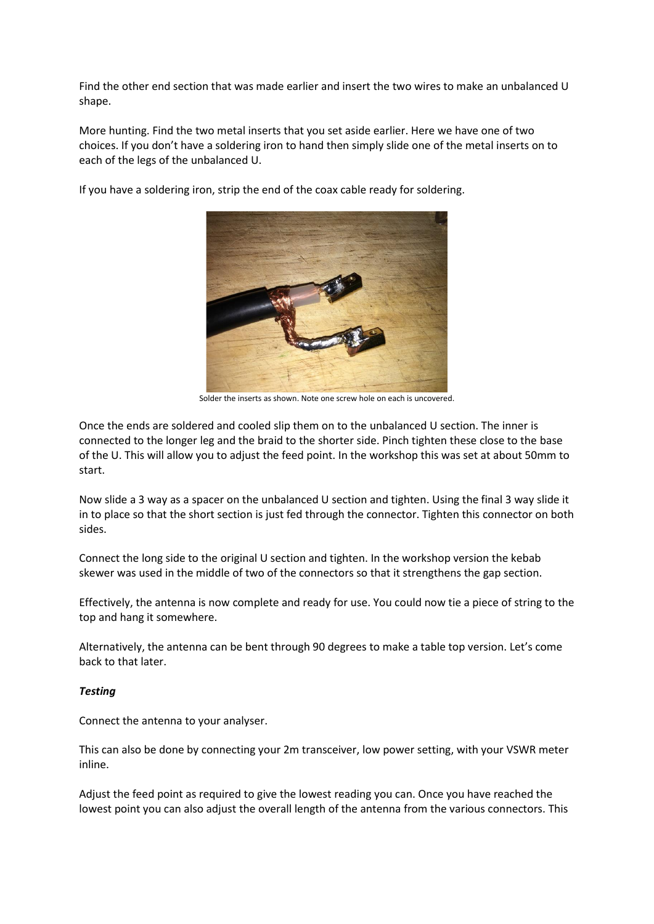Find the other end section that was made earlier and insert the two wires to make an unbalanced U shape.

More hunting. Find the two metal inserts that you set aside earlier. Here we have one of two choices. If you don't have a soldering iron to hand then simply slide one of the metal inserts on to each of the legs of the unbalanced U.

If you have a soldering iron, strip the end of the coax cable ready for soldering.



Solder the inserts as shown. Note one screw hole on each is uncovered.

Once the ends are soldered and cooled slip them on to the unbalanced U section. The inner is connected to the longer leg and the braid to the shorter side. Pinch tighten these close to the base of the U. This will allow you to adjust the feed point. In the workshop this was set at about 50mm to start.

Now slide a 3 way as a spacer on the unbalanced U section and tighten. Using the final 3 way slide it in to place so that the short section is just fed through the connector. Tighten this connector on both sides.

Connect the long side to the original U section and tighten. In the workshop version the kebab skewer was used in the middle of two of the connectors so that it strengthens the gap section.

Effectively, the antenna is now complete and ready for use. You could now tie a piece of string to the top and hang it somewhere.

Alternatively, the antenna can be bent through 90 degrees to make a table top version. Let's come back to that later.

## *Testing*

Connect the antenna to your analyser.

This can also be done by connecting your 2m transceiver, low power setting, with your VSWR meter inline.

Adjust the feed point as required to give the lowest reading you can. Once you have reached the lowest point you can also adjust the overall length of the antenna from the various connectors. This